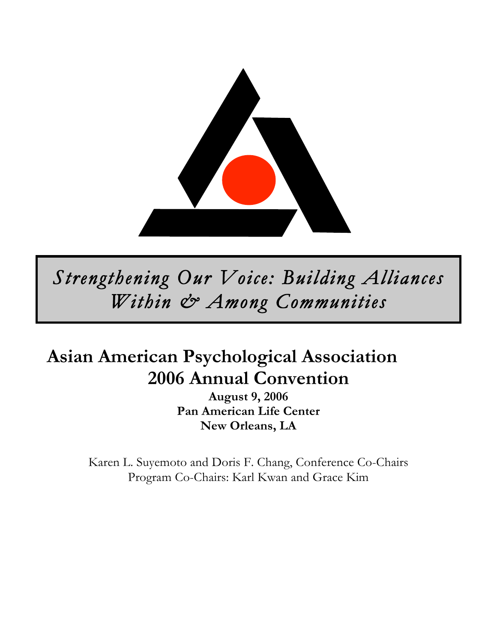

*Strengthening Our Voice: Building Alliances Within & Among Communities* 

# **Asian American Psychological Association 2006 Annual Convention**

**August 9, 2006 Pan American Life Center New Orleans, LA**

Karen L. Suyemoto and Doris F. Chang, Conference Co-Chairs Program Co-Chairs: Karl Kwan and Grace Kim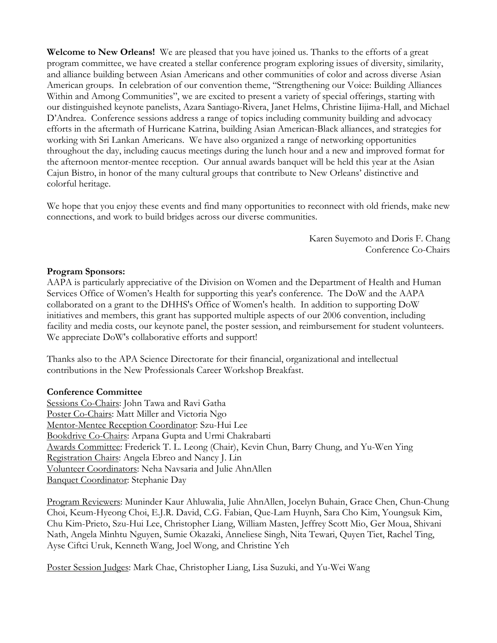**Welcome to New Orleans!** We are pleased that you have joined us. Thanks to the efforts of a great program committee, we have created a stellar conference program exploring issues of diversity, similarity, and alliance building between Asian Americans and other communities of color and across diverse Asian American groups. In celebration of our convention theme, "Strengthening our Voice: Building Alliances Within and Among Communities", we are excited to present a variety of special offerings, starting with our distinguished keynote panelists, Azara Santiago-Rivera, Janet Helms, Christine Iijima-Hall, and Michael D'Andrea. Conference sessions address a range of topics including community building and advocacy efforts in the aftermath of Hurricane Katrina, building Asian American-Black alliances, and strategies for working with Sri Lankan Americans. We have also organized a range of networking opportunities throughout the day, including caucus meetings during the lunch hour and a new and improved format for the afternoon mentor-mentee reception. Our annual awards banquet will be held this year at the Asian Cajun Bistro, in honor of the many cultural groups that contribute to New Orleans' distinctive and colorful heritage.

We hope that you enjoy these events and find many opportunities to reconnect with old friends, make new connections, and work to build bridges across our diverse communities.

> Karen Suyemoto and Doris F. Chang Conference Co-Chairs

#### **Program Sponsors:**

AAPA is particularly appreciative of the Division on Women and the Department of Health and Human Services Office of Women's Health for supporting this year's conference. The DoW and the AAPA collaborated on a grant to the DHHS's Office of Women's health. In addition to supporting DoW initiatives and members, this grant has supported multiple aspects of our 2006 convention, including facility and media costs, our keynote panel, the poster session, and reimbursement for student volunteers. We appreciate DoW's collaborative efforts and support!

Thanks also to the APA Science Directorate for their financial, organizational and intellectual contributions in the New Professionals Career Workshop Breakfast.

#### **Conference Committee**

Sessions Co-Chairs: John Tawa and Ravi Gatha Poster Co-Chairs: Matt Miller and Victoria Ngo Mentor-Mentee Reception Coordinator: Szu-Hui Lee Bookdrive Co-Chairs: Arpana Gupta and Urmi Chakrabarti Awards Committee: Frederick T. L. Leong (Chair), Kevin Chun, Barry Chung, and Yu-Wen Ying Registration Chairs: Angela Ebreo and Nancy J. Lin Volunteer Coordinators: Neha Navsaria and Julie AhnAllen Banquet Coordinator: Stephanie Day

Program Reviewers: Muninder Kaur Ahluwalia, Julie AhnAllen, Jocelyn Buhain, Grace Chen, Chun-Chung Choi, Keum-Hyeong Choi, E.J.R. David, C.G. Fabian, Que-Lam Huynh, Sara Cho Kim, Youngsuk Kim, Chu Kim-Prieto, Szu-Hui Lee, Christopher Liang, William Masten, Jeffrey Scott Mio, Ger Moua, Shivani Nath, Angela Minhtu Nguyen, Sumie Okazaki, Anneliese Singh, Nita Tewari, Quyen Tiet, Rachel Ting, Ayse Ciftci Uruk, Kenneth Wang, Joel Wong, and Christine Yeh

Poster Session Judges: Mark Chae, Christopher Liang, Lisa Suzuki, and Yu-Wei Wang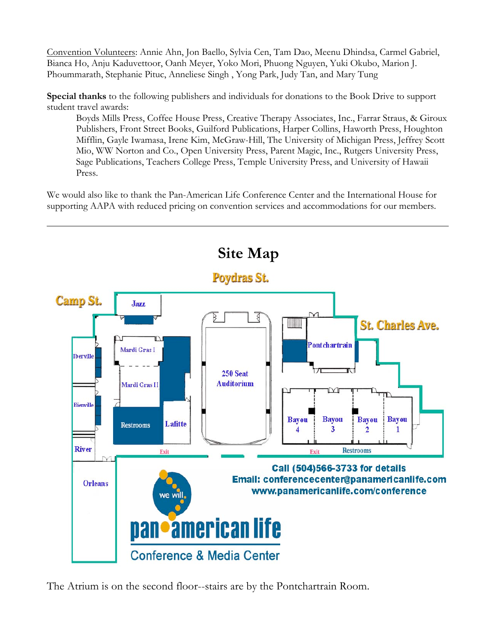Convention Volunteers: Annie Ahn, Jon Baello, Sylvia Cen, Tam Dao, Meenu Dhindsa, Carmel Gabriel, Bianca Ho, Anju Kaduvettoor, Oanh Meyer, Yoko Mori, Phuong Nguyen, Yuki Okubo, Marion J. Phoummarath, Stephanie Pituc, Anneliese Singh , Yong Park, Judy Tan, and Mary Tung

**Special thanks** to the following publishers and individuals for donations to the Book Drive to support student travel awards:

Boyds Mills Press, Coffee House Press, Creative Therapy Associates, Inc., Farrar Straus, & Giroux Publishers, Front Street Books, Guilford Publications, Harper Collins, Haworth Press, Houghton Mifflin, Gayle Iwamasa, Irene Kim, McGraw-Hill, The University of Michigan Press, Jeffrey Scott Mio, WW Norton and Co., Open University Press, Parent Magic, Inc., Rutgers University Press, Sage Publications, Teachers College Press, Temple University Press, and University of Hawaii Press.

We would also like to thank the Pan-American Life Conference Center and the International House for supporting AAPA with reduced pricing on convention services and accommodations for our members.



The Atrium is on the second floor--stairs are by the Pontchartrain Room.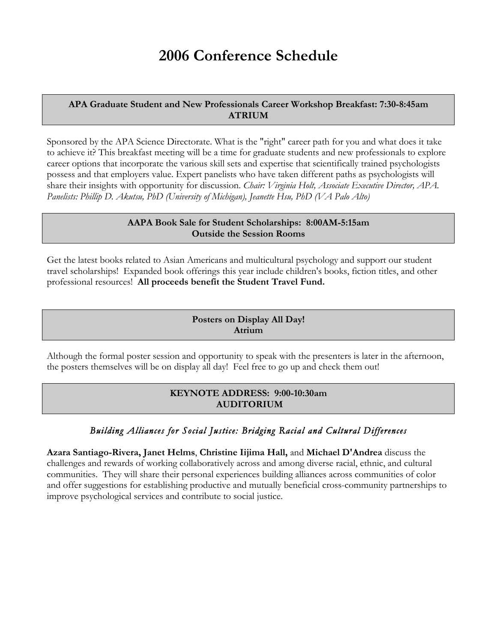# **2006 Conference Schedule**

#### **APA Graduate Student and New Professionals Career Workshop Breakfast: 7:30-8:45am ATRIUM**

Sponsored by the APA Science Directorate. What is the "right" career path for you and what does it take to achieve it? This breakfast meeting will be a time for graduate students and new professionals to explore career options that incorporate the various skill sets and expertise that scientifically trained psychologists possess and that employers value. Expert panelists who have taken different paths as psychologists will share their insights with opportunity for discussion. *Chair: Virginia Holt, Associate Executive Director, APA. Panelists: Phillip D. Akutsu, PhD (University of Michigan), Jeanette Hsu, PhD (VA Palo Alto)*

#### **AAPA Book Sale for Student Scholarships: 8:00AM-5:15am Outside the Session Rooms**

Get the latest books related to Asian Americans and multicultural psychology and support our student travel scholarships! Expanded book offerings this year include children's books, fiction titles, and other professional resources! **All proceeds benefit the Student Travel Fund.**

# **Posters on Display All Day! Atrium**

Although the formal poster session and opportunity to speak with the presenters is later in the afternoon, the posters themselves will be on display all day! Feel free to go up and check them out!

# **KEYNOTE ADDRESS: 9:00-10:30am AUDITORIUM**

# *Building Alliances for Social Justice: Bridging Racial and Cultural Differences*

**Azara Santiago-Rivera, Janet Helms**, **Christine Iijima Hall,** and **Michael D'Andrea** discuss the challenges and rewards of working collaboratively across and among diverse racial, ethnic, and cultural communities. They will share their personal experiences building alliances across communities of color and offer suggestions for establishing productive and mutually beneficial cross-community partnerships to improve psychological services and contribute to social justice.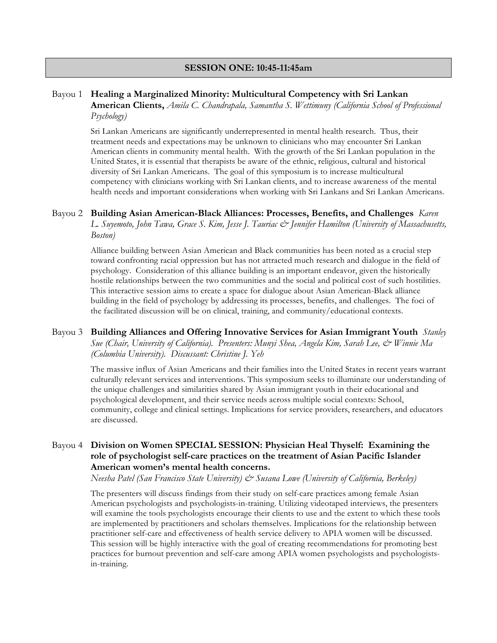#### **SESSION ONE: 10:45-11:45am**

#### Bayou 1 **Healing a Marginalized Minority: Multicultural Competency with Sri Lankan**

**American Clients,** *Amila C. Chandrapala, Samantha S. Wettimuny (California School of Professional Psychology)*

Sri Lankan Americans are significantly underrepresented in mental health research. Thus, their treatment needs and expectations may be unknown to clinicians who may encounter Sri Lankan American clients in community mental health. With the growth of the Sri Lankan population in the United States, it is essential that therapists be aware of the ethnic, religious, cultural and historical diversity of Sri Lankan Americans. The goal of this symposium is to increase multicultural competency with clinicians working with Sri Lankan clients, and to increase awareness of the mental health needs and important considerations when working with Sri Lankans and Sri Lankan Americans.

#### Bayou 2 **Building Asian American-Black Alliances: Processes, Benefits, and Challenges** *Karen*

*L. Suyemoto, John Tawa, Grace S. Kim, Jesse J. Tauriac & Jennifer Hamilton (University of Massachusetts, Boston)*

Alliance building between Asian American and Black communities has been noted as a crucial step toward confronting racial oppression but has not attracted much research and dialogue in the field of psychology. Consideration of this alliance building is an important endeavor, given the historically hostile relationships between the two communities and the social and political cost of such hostilities. This interactive session aims to create a space for dialogue about Asian American-Black alliance building in the field of psychology by addressing its processes, benefits, and challenges. The foci of the facilitated discussion will be on clinical, training, and community/educational contexts.

#### Bayou 3 **Building Alliances and Offering Innovative Services for Asian Immigrant Youth** *Stanley Sue (Chair, University of California). Presenters: Munyi Shea, Angela Kim, Sarah Lee, & Winnie Ma (Columbia University). Discussant: Christine J. Yeh*

The massive influx of Asian Americans and their families into the United States in recent years warrant culturally relevant services and interventions. This symposium seeks to illuminate our understanding of the unique challenges and similarities shared by Asian immigrant youth in their educational and psychological development, and their service needs across multiple social contexts: School, community, college and clinical settings. Implications for service providers, researchers, and educators are discussed.

#### Bayou 4 **Division on Women SPECIAL SESSION: Physician Heal Thyself: Examining the role of psychologist self-care practices on the treatment of Asian Pacific Islander American women's mental health concerns.**

*Neesha Patel (San Francisco State University) & Susana Lowe (University of California, Berkeley)*

The presenters will discuss findings from their study on self-care practices among female Asian American psychologists and psychologists-in-training. Utilizing videotaped interviews, the presenters will examine the tools psychologists encourage their clients to use and the extent to which these tools are implemented by practitioners and scholars themselves. Implications for the relationship between practitioner self-care and effectiveness of health service delivery to APIA women will be discussed. This session will be highly interactive with the goal of creating recommendations for promoting best practices for burnout prevention and self-care among APIA women psychologists and psychologistsin-training.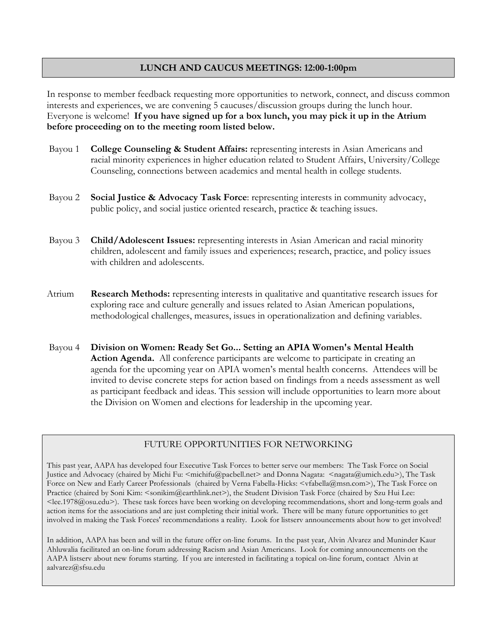# **LUNCH AND CAUCUS MEETINGS: 12:00-1:00pm**

In response to member feedback requesting more opportunities to network, connect, and discuss common interests and experiences, we are convening 5 caucuses/discussion groups during the lunch hour. Everyone is welcome! **If you have signed up for a box lunch, you may pick it up in the Atrium before proceeding on to the meeting room listed below.** 

- Bayou 1 **College Counseling & Student Affairs:** representing interests in Asian Americans and racial minority experiences in higher education related to Student Affairs, University/College Counseling, connections between academics and mental health in college students.
- Bayou 2 **Social Justice & Advocacy Task Force**: representing interests in community advocacy, public policy, and social justice oriented research, practice & teaching issues.
- Bayou 3 **Child/Adolescent Issues:** representing interests in Asian American and racial minority children, adolescent and family issues and experiences; research, practice, and policy issues with children and adolescents.
- Atrium **Research Methods:** representing interests in qualitative and quantitative research issues for exploring race and culture generally and issues related to Asian American populations, methodological challenges, measures, issues in operationalization and defining variables.
- Bayou 4 **Division on Women: Ready Set Go... Setting an APIA Women's Mental Health Action Agenda.** All conference participants are welcome to participate in creating an agenda for the upcoming year on APIA women's mental health concerns. Attendees will be invited to devise concrete steps for action based on findings from a needs assessment as well as participant feedback and ideas. This session will include opportunities to learn more about the Division on Women and elections for leadership in the upcoming year.

#### FUTURE OPPORTUNITIES FOR NETWORKING

This past year, AAPA has developed four Executive Task Forces to better serve our members: The Task Force on Social Justice and Advocacy (chaired by Michi Fu: <michifu@pacbell.net> and Donna Nagata: <nagata@umich.edu>), The Task Force on New and Early Career Professionals (chaired by Verna Fabella-Hicks: <vfabella@msn.com>), The Task Force on Practice (chaired by Soni Kim: <sonikim@earthlink.net>), the Student Division Task Force (chaired by Szu Hui Lee:  $\leq$ lee.1978@osu.edu>). These task forces have been working on developing recommendations, short and long-term goals and action items for the associations and are just completing their initial work. There will be many future opportunities to get involved in making the Task Forces' recommendations a reality. Look for listserv announcements about how to get involved!

In addition, AAPA has been and will in the future offer on-line forums. In the past year, Alvin Alvarez and Muninder Kaur Ahluwalia facilitated an on-line forum addressing Racism and Asian Americans. Look for coming announcements on the AAPA listserv about new forums starting. If you are interested in facilitating a topical on-line forum, contact Alvin at aalvarez@sfsu.edu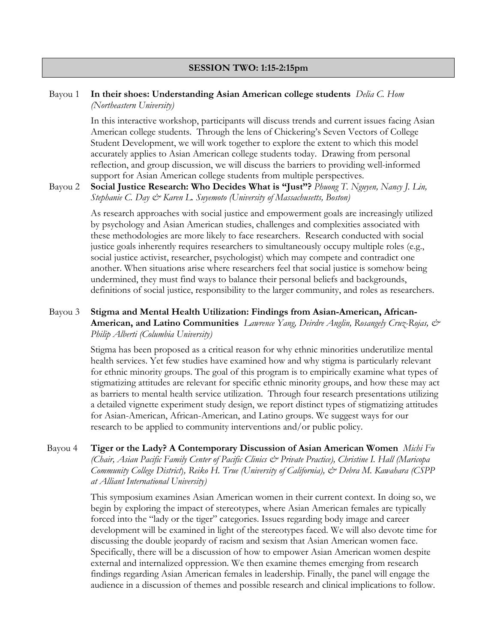#### **SESSION TWO: 1:15-2:15pm**

#### Bayou 1 **In their shoes: Understanding Asian American college students** *Delia C. Hom (Northeastern University)*

In this interactive workshop, participants will discuss trends and current issues facing Asian American college students. Through the lens of Chickering's Seven Vectors of College Student Development, we will work together to explore the extent to which this model accurately applies to Asian American college students today. Drawing from personal reflection, and group discussion, we will discuss the barriers to providing well-informed support for Asian American college students from multiple perspectives.

#### Bayou 2 **Social Justice Research: Who Decides What is "Just"?** *Phuong T. Nguyen, Nancy J. Lin, Stephanie C. Day & Karen L. Suyemoto (University of Massachusetts, Boston)*

As research approaches with social justice and empowerment goals are increasingly utilized by psychology and Asian American studies, challenges and complexities associated with these methodologies are more likely to face researchers. Research conducted with social justice goals inherently requires researchers to simultaneously occupy multiple roles (e.g., social justice activist, researcher, psychologist) which may compete and contradict one another. When situations arise where researchers feel that social justice is somehow being undermined, they must find ways to balance their personal beliefs and backgrounds, definitions of social justice, responsibility to the larger community, and roles as researchers.

### Bayou 3 **Stigma and Mental Health Utilization: Findings from Asian-American, African-American, and Latino Communities** *Lawrence Yang, Deirdre Anglin, Rosangely Cruz-Rojas, & Philip Alberti (Columbia University)*

Stigma has been proposed as a critical reason for why ethnic minorities underutilize mental health services. Yet few studies have examined how and why stigma is particularly relevant for ethnic minority groups. The goal of this program is to empirically examine what types of stigmatizing attitudes are relevant for specific ethnic minority groups, and how these may act as barriers to mental health service utilization. Through four research presentations utilizing a detailed vignette experiment study design, we report distinct types of stigmatizing attitudes for Asian-American, African-American, and Latino groups. We suggest ways for our research to be applied to community interventions and/or public policy.

Bayou 4 **Tiger or the Lady? A Contemporary Discussion of Asian American Women** *Michi Fu (Chair, Asian Pacific Family Center of Pacific Clinics & Private Practice), Christine I. Hall (Maricopa Community College District*)*, Reiko H. True (University of California), & Debra M. Kawahara (CSPP at Alliant International University)*

> This symposium examines Asian American women in their current context. In doing so, we begin by exploring the impact of stereotypes, where Asian American females are typically forced into the "lady or the tiger" categories. Issues regarding body image and career development will be examined in light of the stereotypes faced. We will also devote time for discussing the double jeopardy of racism and sexism that Asian American women face. Specifically, there will be a discussion of how to empower Asian American women despite external and internalized oppression. We then examine themes emerging from research findings regarding Asian American females in leadership. Finally, the panel will engage the audience in a discussion of themes and possible research and clinical implications to follow.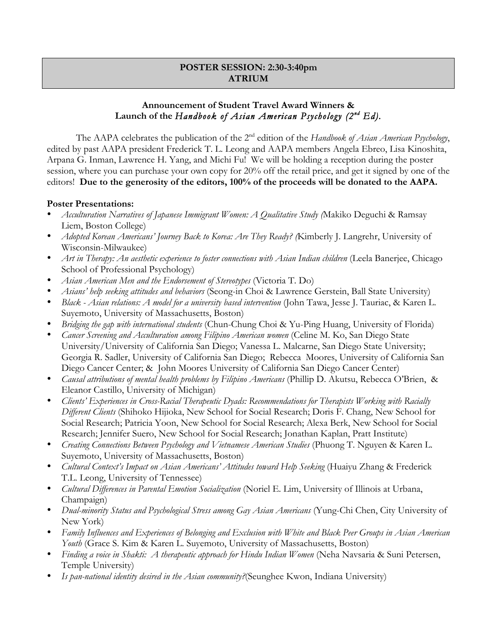# **POSTER SESSION: 2:30-3:40pm ATRIUM**

# **Announcement of Student Travel Award Winners & Launch of the** *Handbook of Asian American Psychology (2nd Ed).*

The AAPA celebrates the publication of the 2nd edition of the *Handbook of Asian American Psychology*, edited by past AAPA president Frederick T. L. Leong and AAPA members Angela Ebreo, Lisa Kinoshita, Arpana G. Inman, Lawrence H. Yang, and Michi Fu! We will be holding a reception during the poster session, where you can purchase your own copy for 20% off the retail price, and get it signed by one of the editors! **Due to the generosity of the editors, 100% of the proceeds will be donated to the AAPA.** 

#### **Poster Presentations:**

- *Acculturation Narratives of Japanese Immigrant Women: A Qualitative Study (*Makiko Deguchi & Ramsay Liem, Boston College)
- *Adopted Korean Americans' Journey Back to Korea: Are They Ready? (*Kimberly J. Langrehr, University of Wisconsin-Milwaukee)
- *Art in Therapy: An aesthetic experience to foster connections with Asian Indian children* (Leela Banerjee, Chicago School of Professional Psychology)
- *Asian American Men and the Endorsement of Stereotypes* (Victoria T. Do)
- *Asians' help seeking attitudes and behaviors* (Seong-in Choi & Lawrence Gerstein, Ball State University)
- *Black Asian relations: A model for a university based intervention* (John Tawa, Jesse J. Tauriac, & Karen L. Suyemoto, University of Massachusetts, Boston)
- *Bridging the gap with international students* (Chun-Chung Choi & Yu-Ping Huang, University of Florida)
- *Cancer Screening and Acculturation among Filipino American women* (Celine M. Ko, San Diego State University/University of California San Diego; Vanessa L. Malcarne, San Diego State University; Georgia R. Sadler, University of California San Diego; Rebecca Moores, University of California San Diego Cancer Center; & John Moores University of California San Diego Cancer Center)
- *Causal attributions of mental health problems by Filipino Americans* (Phillip D. Akutsu, Rebecca O'Brien, & Eleanor Castillo, University of Michigan)
- *Clients' Experiences in Cross-Racial Therapeutic Dyads: Recommendations for Therapists Working with Racially Different Clients* (Shihoko Hijioka, New School for Social Research; Doris F. Chang, New School for Social Research; Patricia Yoon, New School for Social Research; Alexa Berk, New School for Social Research; Jennifer Suero, New School for Social Research; Jonathan Kaplan, Pratt Institute)
- *Creating Connections Between Psychology and Vietnamese American Studies* (Phuong T. Nguyen & Karen L. Suyemoto, University of Massachusetts, Boston)
- *Cultural Context's Impact on Asian Americans' Attitudes toward Help Seeking* (Huaiyu Zhang & Frederick T.L. Leong, University of Tennessee)
- *Cultural Differences in Parental Emotion Socialization* (Noriel E. Lim, University of Illinois at Urbana, Champaign)
- *Dual-minority Status and Psychological Stress among Gay Asian Americans* (Yung-Chi Chen, City University of New York)
- *Family Influences and Experiences of Belonging and Exclusion with White and Black Peer Groups in Asian American Youth* (Grace S. Kim & Karen L. Suyemoto, University of Massachusetts, Boston)
- *Finding a voice in Shakti: A therapeutic approach for Hindu Indian Women* (Neha Navsaria & Suni Petersen, Temple University)
- *Is pan-national identity desired in the Asian community?*(Seunghee Kwon, Indiana University)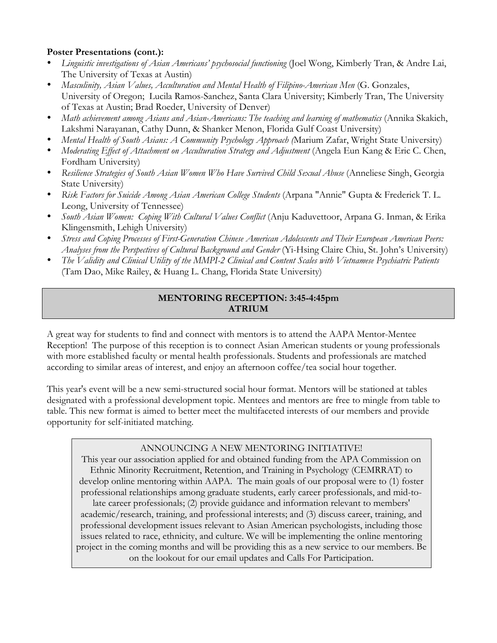# **Poster Presentations (cont.):**

- *Linguistic investigations of Asian Americans' psychosocial functioning* (Joel Wong, Kimberly Tran, & Andre Lai, The University of Texas at Austin)
- *Masculinity, Asian Values, Acculturation and Mental Health of Filipino-American Men* (G. Gonzales, University of Oregon; Lucila Ramos-Sanchez, Santa Clara University; Kimberly Tran, The University of Texas at Austin; Brad Roeder, University of Denver)
- *Math achievement among Asians and Asian-Americans: The teaching and learning of mathematics* (Annika Skakich, Lakshmi Narayanan, Cathy Dunn, & Shanker Menon, Florida Gulf Coast University)
- *Mental Health of South Asians: A Community Psychology Approach (*Marium Zafar, Wright State University)
- *Moderating Effect of Attachment on Acculturation Strategy and Adjustment* (Angela Eun Kang & Eric C. Chen, Fordham University)
- Resilience Strategies of South Asian Women Who Have Survived Child Sexual Abuse (Anneliese Singh, Georgia State University)
- *Risk Factors for Suicide Among Asian American College Students* (Arpana "Annie" Gupta & Frederick T. L. Leong, University of Tennessee)
- *South Asian Women: Coping With Cultural Values Conflict* (Anju Kaduvettoor, Arpana G. Inman, & Erika Klingensmith, Lehigh University)
- *Stress and Coping Processes of First-Generation Chinese American Adolescents and Their European American Peers: Analyses from the Perspectives of Cultural Background and Gender* (Yi-Hsing Claire Chiu, St. John's University)
- *The Validity and Clinical Utility of the MMPI-2 Clinical and Content Scales with Vietnamese Psychiatric Patients* (Tam Dao, Mike Railey, & Huang L. Chang, Florida State University)

# **MENTORING RECEPTION: 3:45-4:45pm ATRIUM**

A great way for students to find and connect with mentors is to attend the AAPA Mentor-Mentee Reception! The purpose of this reception is to connect Asian American students or young professionals with more established faculty or mental health professionals. Students and professionals are matched according to similar areas of interest, and enjoy an afternoon coffee/tea social hour together.

This year's event will be a new semi-structured social hour format. Mentors will be stationed at tables designated with a professional development topic. Mentees and mentors are free to mingle from table to table. This new format is aimed to better meet the multifaceted interests of our members and provide opportunity for self-initiated matching.

# ANNOUNCING A NEW MENTORING INITIATIVE!

This year our association applied for and obtained funding from the APA Commission on Ethnic Minority Recruitment, Retention, and Training in Psychology (CEMRRAT) to develop online mentoring within AAPA. The main goals of our proposal were to (1) foster professional relationships among graduate students, early career professionals, and mid-tolate career professionals; (2) provide guidance and information relevant to members' academic/research, training, and professional interests; and (3) discuss career, training, and professional development issues relevant to Asian American psychologists, including those issues related to race, ethnicity, and culture. We will be implementing the online mentoring project in the coming months and will be providing this as a new service to our members. Be on the lookout for our email updates and Calls For Participation.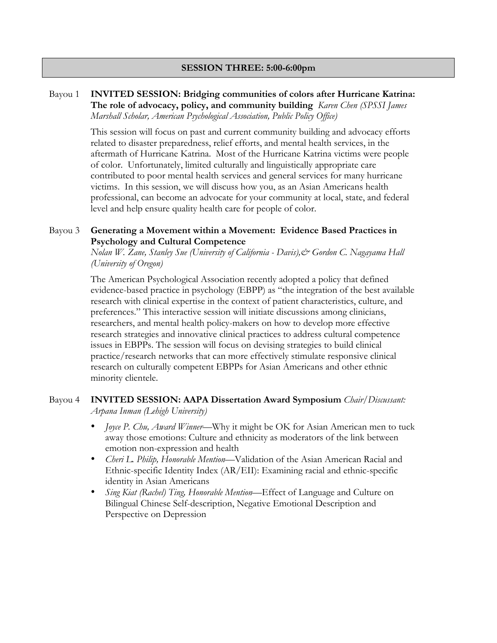#### **SESSION THREE: 5:00-6:00pm**

#### Bayou 1 **INVITED SESSION: Bridging communities of colors after Hurricane Katrina: The role of advocacy, policy, and community building** *Karen Chen (SPSSI James Marshall Scholar, American Psychological Association, Public Policy Office)*

This session will focus on past and current community building and advocacy efforts related to disaster preparedness, relief efforts, and mental health services, in the aftermath of Hurricane Katrina. Most of the Hurricane Katrina victims were people of color. Unfortunately, limited culturally and linguistically appropriate care contributed to poor mental health services and general services for many hurricane victims. In this session, we will discuss how you, as an Asian Americans health professional, can become an advocate for your community at local, state, and federal level and help ensure quality health care for people of color.

#### Bayou 3 **Generating a Movement within a Movement: Evidence Based Practices in Psychology and Cultural Competence**

*Nolan W. Zane, Stanley Sue (University of California - Davis),& Gordon C. Nagayama Hall (University of Oregon)*

The American Psychological Association recently adopted a policy that defined evidence-based practice in psychology (EBPP) as "the integration of the best available research with clinical expertise in the context of patient characteristics, culture, and preferences." This interactive session will initiate discussions among clinicians, researchers, and mental health policy-makers on how to develop more effective research strategies and innovative clinical practices to address cultural competence issues in EBPPs. The session will focus on devising strategies to build clinical practice/research networks that can more effectively stimulate responsive clinical research on culturally competent EBPPs for Asian Americans and other ethnic minority clientele.

#### Bayou 4 **INVITED SESSION: AAPA Dissertation Award Symposium** *Chair/Discussant: Arpana Inman (Lehigh University)*

- *Joyce P. Chu, Award Winner*—Why it might be OK for Asian American men to tuck away those emotions: Culture and ethnicity as moderators of the link between emotion non-expression and health
- *Cheri L. Philip, Honorable Mention—*Validation of the Asian American Racial and Ethnic-specific Identity Index (AR/EII): Examining racial and ethnic-specific identity in Asian Americans
- *Sing Kiat (Rachel) Ting, Honorable Mention—*Effect of Language and Culture on Bilingual Chinese Self-description, Negative Emotional Description and Perspective on Depression